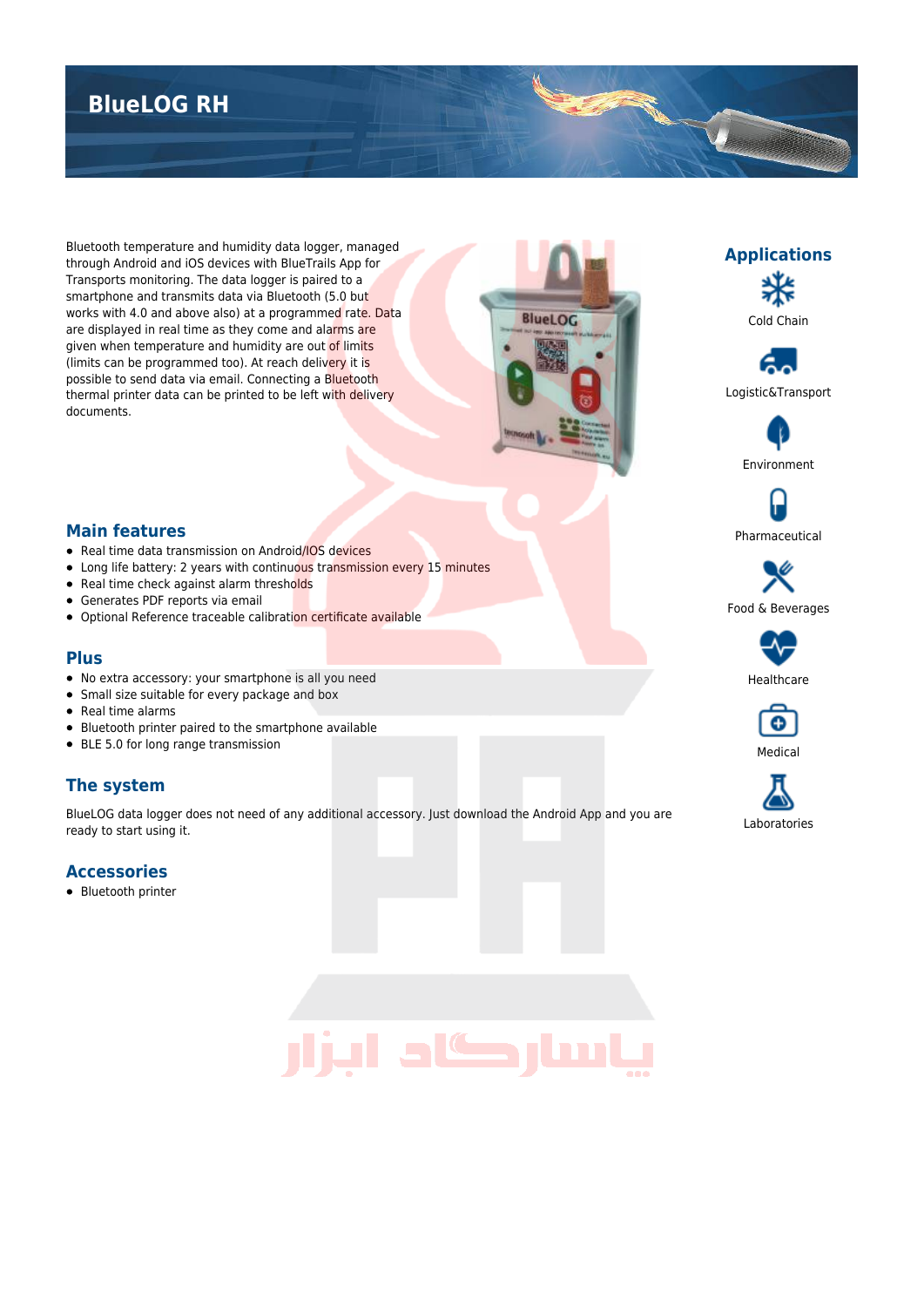# **BlueLOG RH**

Bluetooth temperature and humidity data logger, managed through Android and iOS devices with BlueTrails App for Transports monitoring. The data logger is paired to a smartphone and transmits data via Bluetooth (5.0 but works with 4.0 and above also) at a programmed rate. Data are displayed in real time as they come and alarms are given when temperature and humidity are out of limits (limits can be programmed too). At reach delivery it is possible to send data via email. Connecting a Bluetooth thermal printer data can be printed to be left with delivery documents.





Logistic&Transport



Pharmaceutical

### **Main features**

- Real time data transmission on Android/IOS devices
- Long life battery: 2 years with continuous transmission every 15 minutes
- Real time check against alarm thresholds
- Generates PDF reports via email
- Optional Reference traceable calibration certificate available

#### **Plus**

- No extra accessory: your smartphone is all you need
- Small size suitable for every package and box
- Real time alarms
- Bluetooth printer paired to the smartphone available
- BLE 5.0 for long range transmission

## **The system**

BlueLOG data logger does not need of any additional accessory. Just download the Android App and you are ready to start using it.

#### **Accessories**

• Bluetooth printer